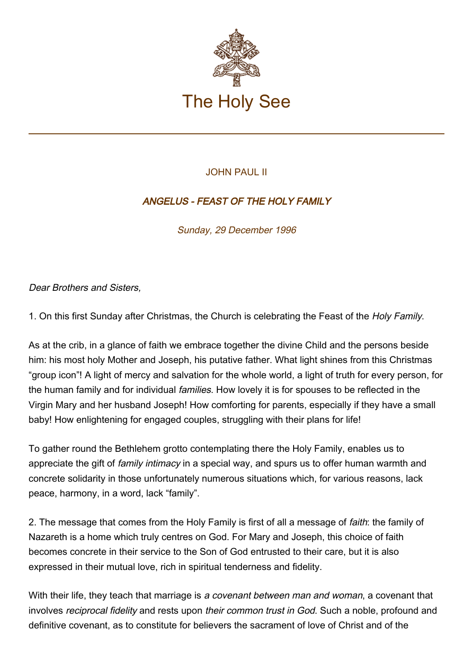

## JOHN PAUL II

## ANGELUS - FEAST OF THE HOLY FAMILY

Sunday, 29 December 1996

Dear Brothers and Sisters,

1. On this first Sunday after Christmas, the Church is celebrating the Feast of the Holy Family.

As at the crib, in a glance of faith we embrace together the divine Child and the persons beside him: his most holy Mother and Joseph, his putative father. What light shines from this Christmas "group icon"! A light of mercy and salvation for the whole world, a light of truth for every person, for the human family and for individual *families*. How lovely it is for spouses to be reflected in the Virgin Mary and her husband Joseph! How comforting for parents, especially if they have a small baby! How enlightening for engaged couples, struggling with their plans for life!

To gather round the Bethlehem grotto contemplating there the Holy Family, enables us to appreciate the gift of *family intimacy* in a special way, and spurs us to offer human warmth and concrete solidarity in those unfortunately numerous situations which, for various reasons, lack peace, harmony, in a word, lack "family".

2. The message that comes from the Holy Family is first of all a message of *faith*: the family of Nazareth is a home which truly centres on God. For Mary and Joseph, this choice of faith becomes concrete in their service to the Son of God entrusted to their care, but it is also expressed in their mutual love, rich in spiritual tenderness and fidelity.

With their life, they teach that marriage is a covenant between man and woman, a covenant that involves reciprocal fidelity and rests upon their common trust in God. Such a noble, profound and definitive covenant, as to constitute for believers the sacrament of love of Christ and of the